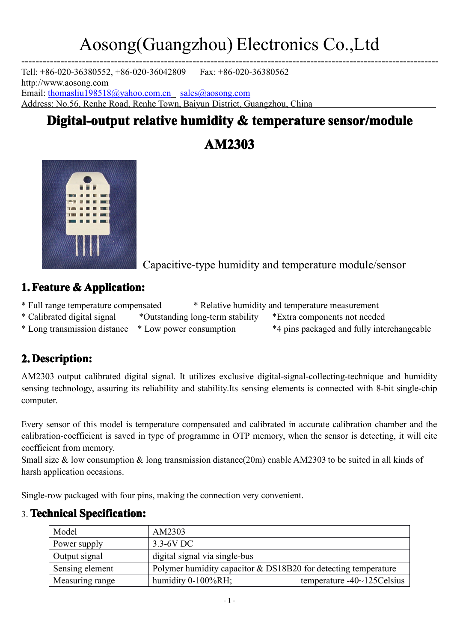---------------------------------------------------------------------------------------------------------------------

Tell: +86-020-36380552, +86-020-36042809 Fax: +86-020-36380562 [http://www.aosong.com](http://www.aosong.com(chinese) Email: [thomasliu198518@yahoo.com.cn](mailto:thomasliu198518@yahoo.com.cn) [sales@aosong.com](mailto:sales@aosong.com) Address: No.56, Renhe Road, Renhe Town, Baiyun District, Guangzhou, China

### **Digital-output relative humidity & temperature sensor/module**

**AM2303**



Capacitive-type humidity and temperature module/sensor

### **1. Feature & Application:**

- \* Full range temperature compensated \* Relative humidity and temperature measurement
- \* Calibrated digital signal \*Outstanding long-term stability \*Extra components not needed
- \* Long transmission distance \* Low power consumption \*4 pins packaged and fully interchangeable

### **2. Description: Description:**

AM2303 output calibrated digital signal. It utilizes exclusive digital-signal-collecting-technique and humidity sensing technology, assuring its reliability and stability.Its sensing elements is connected with 8-bit single-chip computer.

Every sensor of this model is temperature compensated and calibrated in accurate calibration chamber and the calibration-coefficient is saved in type of programme in OTP memory, when the sensor is detecting, it will cite coefficient from memory.

Small size & low consumption & long transmission distance(20m) enable AM2303 to be suited in all kinds of harsh application occasions.

Single-row packaged with four pins, making the connection very convenient.

| Model           | AM2303                                                           |                                 |  |
|-----------------|------------------------------------------------------------------|---------------------------------|--|
| Power supply    | $3.3 - 6V$ DC                                                    |                                 |  |
| Output signal   | digital signal via single-bus                                    |                                 |  |
| Sensing element | Polymer humidity capacitor $&$ DS18B20 for detecting temperature |                                 |  |
| Measuring range | humidity $0-100\%RH$ ;                                           | temperature $-40$ ~ 125 Celsius |  |

### 3. **Technical TechnicalSpecification: Specification:Specification:**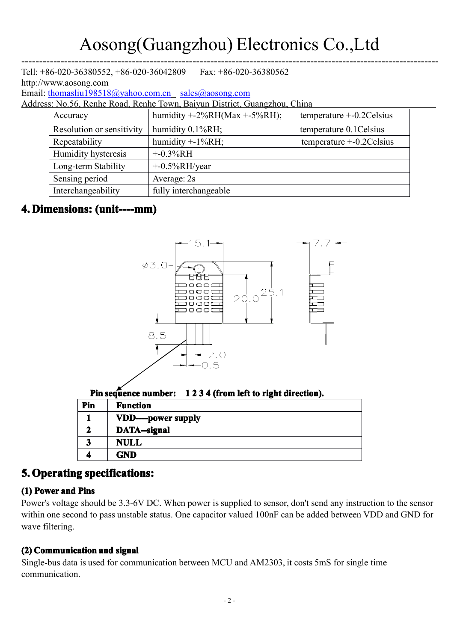---------------------------------------------------------------------------------------------------------------------

| Tell: $+86-020-36380552$ , $+86-020-36042809$<br>Fax: $+86-020-36380562$<br>http://www.aosong.com |                           |                                |                              |  |  |  |  |  |  |  |
|---------------------------------------------------------------------------------------------------|---------------------------|--------------------------------|------------------------------|--|--|--|--|--|--|--|
| Email: thomasliu198518@yahoo.com.cn sales@aosong.com                                              |                           |                                |                              |  |  |  |  |  |  |  |
| Address: No.56, Renhe Road, Renhe Town, Baiyun District, Guangzhou, China                         |                           |                                |                              |  |  |  |  |  |  |  |
|                                                                                                   | Accuracy                  | humidity $+2\%RH(Max +5\%RH);$ | temperature $+$ -0.2 Celsius |  |  |  |  |  |  |  |
|                                                                                                   | Resolution or sensitivity | humidity 0.1%RH;               | temperature 0.1 Celsius      |  |  |  |  |  |  |  |
|                                                                                                   | Repeatability             | humidity $+$ -1%RH;            | temperature $+-0.2C$ elsius  |  |  |  |  |  |  |  |
|                                                                                                   | Humidity hysteresis       | $+ -0.3\%RH$                   |                              |  |  |  |  |  |  |  |
|                                                                                                   | Long-term Stability       | $+$ -0.5%RH/year               |                              |  |  |  |  |  |  |  |
|                                                                                                   | Sensing period            | Average: 2s                    |                              |  |  |  |  |  |  |  |
|                                                                                                   | Interchangeability        | fully interchangeable          |                              |  |  |  |  |  |  |  |

#### **4. Dimensions:** (unit----mm)



### **5. Operating specifications:**

#### **(1) Power and Pins**

Power's voltage should be 3.3-6V DC. When power is supplied to sensor, don't sendany instruction to the sensor within one second to pass unstable status. One capacitor valued 100nF can be added between VDD and GND for wave filtering.

#### **(2) Communication Communicationand signal**

Single-bus data is used for communication between MCU and AM2303, it costs 5mS for single time communication.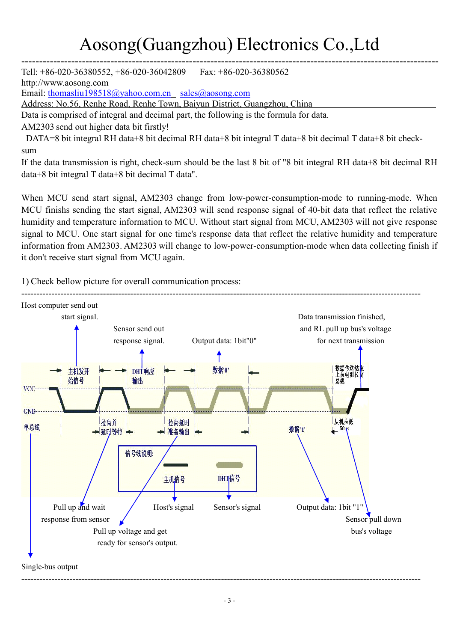---------------------------------------------------------------------------------------------------------------------

Tell: +86-020-36380552, +86-020-36042809 Fax: +86-020-36380562

[http://www.aosong.com](http://www.aosong.com(chinese)

Email: [thomasliu198518@yahoo.com.cn](mailto:thomasliu198518@yahoo.com.cn) [sales@aosong.com](mailto:sales@aosong.com)

Address: No.56, Renhe Road, Renhe Town, Baiyun District, Guangzhou, China

Data is comprised of integral and decimal part, the following is the formula for data.

AM2303 send out higher data bit firstly!

DATA=8 bit integral RH data+8 bit decimal RH data+8 bit integral T data+8 bit decimal T data+8 bit checksum

If the data transmission is right, check-sum should be the last 8 bit of "8 bit integral RH data+8 bit decimal RH data+8 bit integral T data+8 bit decimal T data".

When MCU send start signal, AM2303 change from low-power-consumption-mode to running-mode. When MCU finishs sending the start signal, AM2303 will send response signal of 40-bit data that reflect the relative humidity and temperature information to MCU. Without start signal from MCU, AM2303 will not give response signal to MCU. One start signal for one time's response data that reflect the relative humidity and temperature information from AM2303. AM2303 will change to low-power-consumption-mode when data collecting finish if it don't receive start signal from MCU again.

1) Check bellow picture for overall communication process:

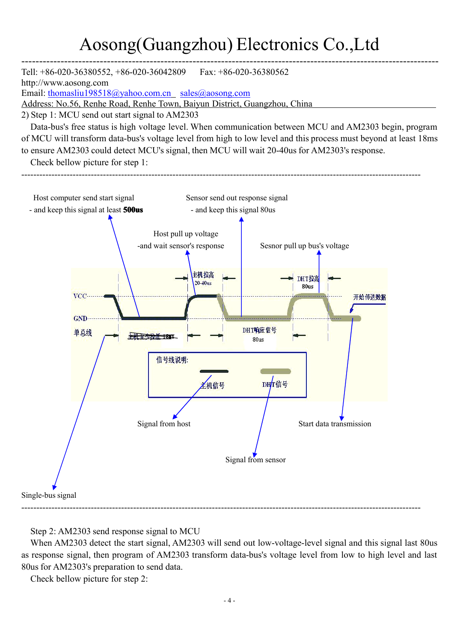---------------------------------------------------------------------------------------------------------------------Tell: +86-020-36380552, +86-020-36042809 Fax: +86-020-36380562 [http://www.aosong.com](http://www.aosong.com(chinese) Email: [thomasliu198518@yahoo.com.cn](mailto:thomasliu198518@yahoo.com.cn) [sales@aosong.com](mailto:sales@aosong.com) Address: No.56, Renhe Road, Renhe Town, Baiyun District, Guangzhou, China 2) Step 1: MCU send out start signal to AM2303 Data-bus's free status is high voltage level. When communication between MCU and AM2303 begin, program of MCU will transform data-bus's voltage level from high to low level and this process must beyond at least 18ms to ensure AM2303 could detect MCU's signal, then MCU will wait 20-40us for AM2303's response. Check bellow picture for step 1: ------------------------------------------------------------------------------------------------------------------------------------Host computer send start signal Sensor send out response signal - and keep this signal at least **500us** - and keep this signal 80us Host pull up voltage -and wait sensor's response Sesnor pull up bus's voltage 主机拉高 DHT拉高  $20-40$ us 80us  $VCC$ 开始传送数据



Single-bus signal

#### Step 2: AM2303 send response signal to MCU

When AM2303 detect the start signal, AM2303 will send out low-voltage-level signal and this signal last 80us as response signal, then program of AM2303 transform data-bus's voltage level from lowto high level and last 80us for AM2303's preparation to send data.

------------------------------------------------------------------------------------------------------------------------------------

Check bellow picture for step 2: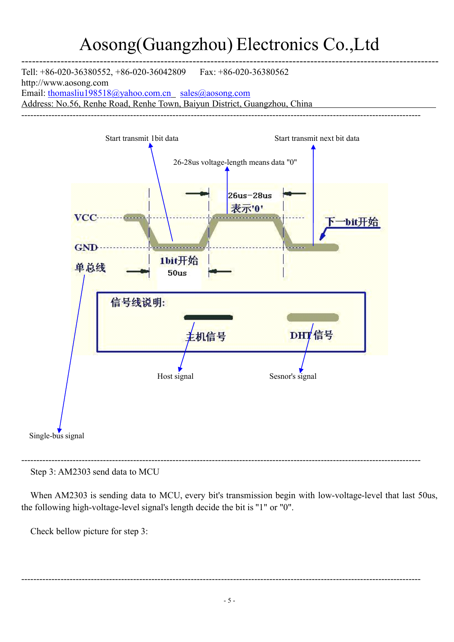---------------------------------------------------------------------------------------------------------------------

Tell: +86-020-36380552, +86-020-36042809 Fax: +86-020-36380562 [http://www.aosong.com](http://www.aosong.com(chinese) Email: [thomasliu198518@yahoo.com.cn](mailto:thomasliu198518@yahoo.com.cn) [sales@aosong.com](mailto:sales@aosong.com) Address: No.56, Renhe Road, Renhe Town, Baiyun District, Guangzhou, China



Step 3: AM2303 send data to MCU

When AM2303 is sending data to MCU, every bit's transmission begin with low-voltage-level that last 50us, the following high-voltage-level signal's length decide the bit is "1" or "0".

Check bellow picture for step 3:

------------------------------------------------------------------------------------------------------------------------------------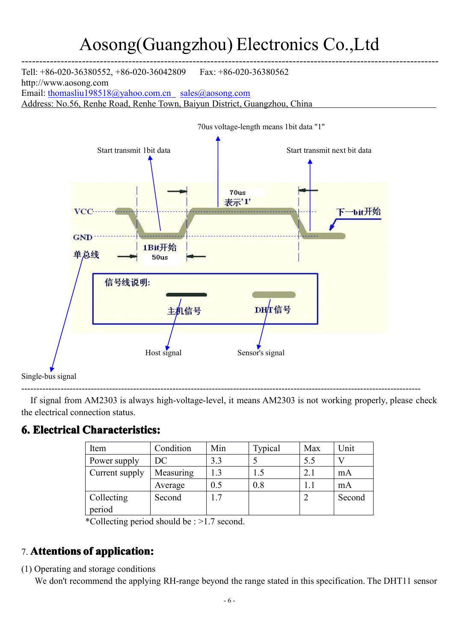---------------------------------------------------------------------------------------------------------------------

Tell: +86-020-36380552, +86-020-36042809 Fax: +86-020-36380562 [http://www.aosong.com](http://www.aosong.com(chinese) Email: [thomasliu198518@yahoo.com.cn](mailto:thomasliu198518@yahoo.com.cn) [sales@aosong.com](mailto:sales@aosong.com) Address: No.56, Renhe Road, Renhe Town, Baiyun District, Guangzhou, China



If signal from AM2303 is always high-voltage-level, it means AM2303 is not working properly, please check the electrical connection status.

### **6. Electrical Characteristics:**

| Item                 | Condition | Min | Typical | Max | Unit   |
|----------------------|-----------|-----|---------|-----|--------|
| Power supply         | DC.       | 3.3 |         | 5.5 |        |
| Current supply       | Measuring | 1.3 | 1.5     | 2.1 | mA     |
|                      | Average   | 0.5 | 0.8     | 1.1 | mA     |
| Collecting<br>period | Second    | 1.7 |         |     | Second |

\*Collecting period should be : >1.7second.

### 7. **Attentions Attentionsof application: application:**

(1) Operating and storage conditions

We don't recommend the applying RH-range beyond the range stated in this specification. The DHT11 sensor